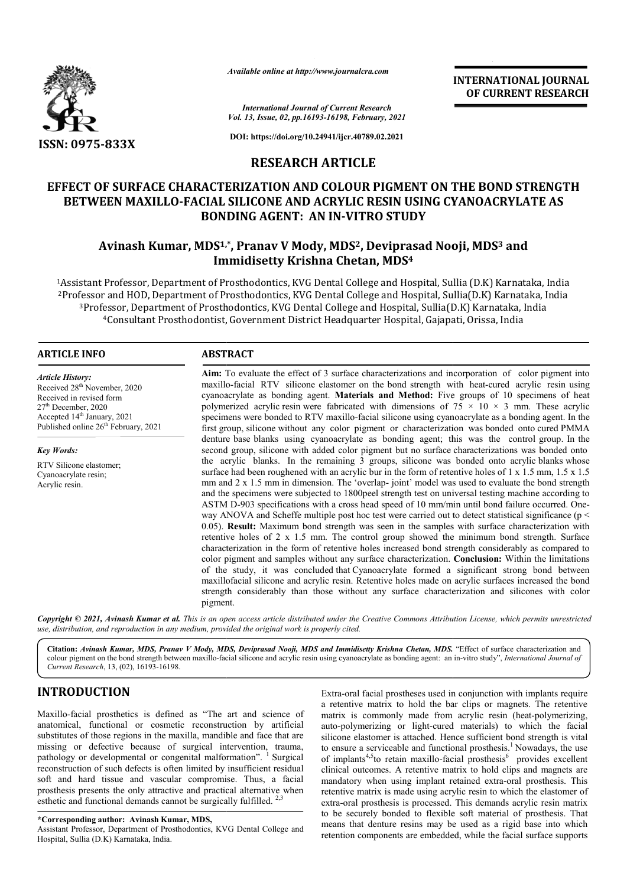

*Available online at http://www.journalcra.com*

*International Journal of Current Research Vol. 13, Issue, 02, pp.16193-16198, February, 2021*

**DOI: https://doi.org/10.24941/ijcr.40789.02.2021**

## **RESEARCH ARTICLE**

# **EFFECT OF SURFACE CHARACTERIZATION AND COLOUR PIGMENT ON THE BOND STRENGTH**  BETWEEN MAXILLO-FACIAL SILICONE AND ACRYLIC RESIN USING CYANOACRYLATE AS<br>BONDING AGENT: AN IN-VITRO STUDY **BONDING AGENT: AN IN**

# **Avinash Kumar, MDS1,\* ,\*, Pranav V Mody, MDS2, Deviprasad Nooji, MDS MDS3 and Immidisetty Krishna Chetan, MDS4**

<sup>1</sup>Assistant Professor, Department of Prosthodontics, KVG Dental College and Hospital, Sullia (D.K) Karnataka, India <sup>2</sup>Professor and HOD, Department of Prosthodontics, KVG<br><sup>3</sup>Professor, Department of Prosthodontics, KVG Dent<sup>4</sup>Consultant Prosthodontist, Government Distri <sup>2</sup> Professor and HOD. Department of Prosthodontics, KVG Dental College and Hospital, Sullia(D.K) Karnataka, India Professor, Department of Prosthodontics, KVG Dental College and Hospital, Sullia(D.K) Karnataka, India <sup>4</sup>Consultant Prosthodontist, Government District Headquarter Hospital, Gajapati, Orissa, India llege and Hospital, Sullia(D.K) Karnataka, India<br>and Hospital, Sullia(D.K) Karnataka, India<br>arter Hospital, Gajapati, Orissa, India

## **ARTICLE INFO ABSTRACT**

*Article History:* Received 28<sup>th</sup> November, 2020 Received in revised form 27th December, 2020 Accepted 14<sup>th</sup> January, 2021 Published online 26<sup>th</sup> February, 2021

*Key Words:*

RTV Silicone elastomer; Cyanoacrylate resin; Acrylic resin.

Aim: To evaluate the effect of 3 surface characterizations and incorporation of color pigment into maxillo maxillo-facial RTV silicone elastomer on the bond strength with heat-cured acrylic resin using cyanoacrylate as bonding agent. **Materials and Method:** Five groups of 10 specimens of heat polymerized acrylic resin were fabricated with dimensions of  $75 \times 10 \times 3$  mm. These acrylic specimens were bonded to RTV maxillo-facial silicone using cyanoacrylate as a bonding agent. In the first group, silicone without any color pigment or characterization was bonded onto cured PMMA denture base blanks using cyanoacrylate as bonding agent; this was the control group. In the second group, silicone with added color pigment but no surface characterizations was bonded onto the acrylic blanks. In the remaining 3 groups, silicone was bonded onto acrylic blanks whose surface had been roughened with an acrylic bur in the form of retentive holes of 1 x 1.5 mm, 1.5 x 1.5 mm and 2 x 1.5 mm in dimension. The 'overlap- joint' model was used to evaluate the bond strength and the specimens were subjected to 1800peel strength test on universal testing machine according to ASTM D D-903 specifications with a cross head speed of 10 mm/min until bond way ANOVA and Scheffe multiple post hoc test were carried out to detect statistical significance (p < 0.05). **Result:** Maximum bond strength was seen in the samples with surface characterization with retentive holes of 2 x 1.5 mm. The control group showed the minimum bond strength. Surface characterization in the form of retentive holes increased bond strength considerably as compared to color pigment and samples without any surface characterization. **Conclusion:** Within the limitations of the study, it was concluded that Cyanoacrylate formed a significant strong bond between maxillofacial silicone and acrylic resin. Retentive holes made on acrylic surfaces increased the bond of the study, it was concluded that Cyanoacrylate formed a significant strong bond between maxillofacial silicone and acrylic resin. Retentive holes made on acrylic surfaces increased the bond strength considerably than th pigment. agent. **Materials and Method:** Five groups of 10 specimens of heat were fabricated with dimensions of  $75 \times 10 \times 3$  mm. These acrylic RTV maxillo-facial silicone using cyanoacrylate as a bonding agent. In the surface had been roughened with an acrylic bur in the form of retentive holes of  $1 \times 1.5$  mm,  $1.5 \times 1.5$  mm in dimension. The 'overlap- joint' model was used to evaluate the bond strength and the specimens were subjecte way ANOVA and Scheffe multiple post hoc test were carried out to detect statistical significance (p < 0.05). **Result:** Maximum bond strength was seen in the samples with surface characterization with retentive holes of 2 x **INTERNATIONAL JOURNAL FROM SET THE CONSUMPLE TO CONSUMPLE THE CONSUMPLE COLOUR PIGMIN TON THE BOND STRENGTH (SHEEMIT THE STREET AND SURFACT CRYPTIC CONSUMPLE TO CONSUMPLE THE CONSUMPLE TO CONSUMPLE THE CONSUMPLE TO CONSU** 

Copyright © 2021, Avinash Kumar et al. This is an open access article distributed under the Creative Commons Attribution License, which permits unrestrictea *use, distribution, and reproduction in any medium, provided the original work is properly cited.*

Citation: Avinash Kumar, MDS, Pranav V Mody, MDS, Deviprasad Nooji, MDS and Immidisetty Krishna Chetan, MDS. "Effect of surface characterization and colour pigment on the bond strength between maxillo-facial silicone and acrylic resin using cyanoacrylate as bonding agent: an in-vitro study", *International Journal of Current Research*, 13, (02), 16193-16198.

## **INTRODUCTION**

Maxillo-facial prosthetics is defined as "The art and science of anatomical, functional or cosmetic reconstruction by artificial substitutes of those regions in the maxilla, mandible and face that are missing or defective because of surgical intervention, trauma, pathology or developmental or congenital malformation". <sup>1</sup> Surgical reconstruction of such defects is often limited by insufficient residual soft and hard tissue and vascular compromise. Thus, a facial prosthesis presents the only attractive and practical alternative when esthetic and functional demands cannot be surgically fulfilled.<sup>2,3</sup> facial prosthetics is defined as "The art and science of cal, functional or cosmetic reconstruction by artificial es of those regions in the maxilla, mandible and face that are or defective because of surgical intervention

#### **\*Corresponding author: Avinash Kumar, MDS,**

Assistant Professor, Department of Prosthodontics, KVG Dental College and Hospital, Sullia (D.K) Karnataka, India.

Extra-oral facial prostheses used in conjunction with implants require a retentive matrix to hold the bar clips or magnets. The retentive matrix is commonly made from acrylic resin (heat-polymerizing, auto-polymerizing or light-cured materials) to which the facial silicone elastomer is attached. Hence sufficient bond strength is vital to ensure a serviceable and functional prosthesis.<sup>1</sup> Nowadays, the use to ensure a serviceable and functional prosthesis.<sup>1</sup> Nowadays, the use of implants<sup>4,5</sup>to retain maxillo-facial prosthesis<sup>6</sup> provides excellent clinical outcomes. A retentive matrix to hold clips and magnets are mandatory when using implant retained extra-oral prosthesis. This retentive matrix is made using acrylic resin to which the elastomer of extra-oral prosthesis is processed. This demands acrylic resin matrix to be securely bonded to flexible soft material of prosthesis. That means that denture resins may be used as a rigid base into which retention components are embedded, while the facial surface supports oral facial prostheses used in conjunction with implants require<br>ntive matrix to hold the bar clips or magnets. The retentive<br>is commonly made from acrylic resin (heat-polymerizing,

**INTERNATIONAL JOURNAL OF CURRENT RESEARCH**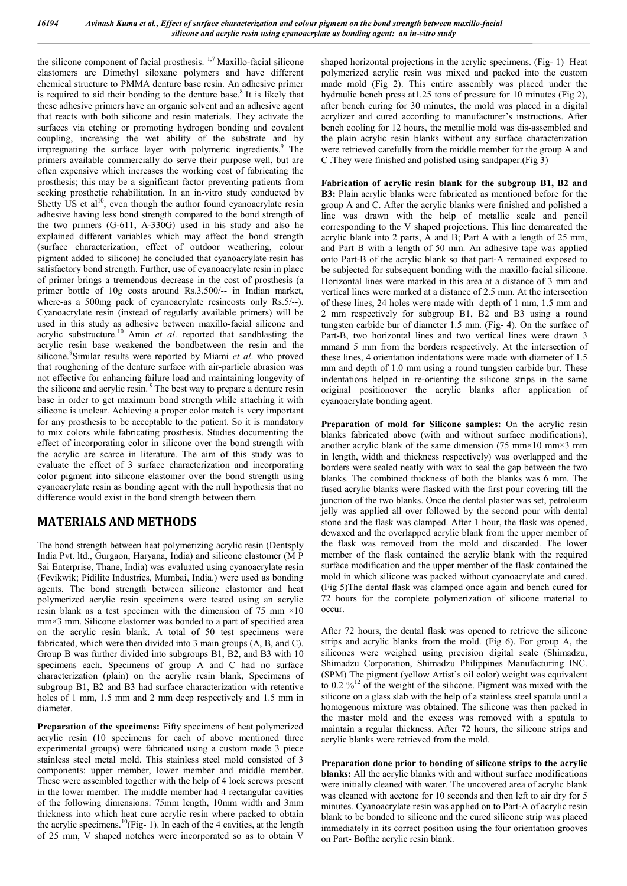the silicone component of facial prosthesis.  $\frac{1}{7}$  Maxillo-facial silicone elastomers are Dimethyl siloxane polymers and have different chemical structure to PMMA denture base resin. An adhesive primer is required to aid their bonding to the denture base.<sup>8</sup> It is likely that these adhesive primers have an organic solvent and an adhesive agent that reacts with both silicone and resin materials. They activate the surfaces via etching or promoting hydrogen bonding and covalent coupling, increasing the wet ability of the substrate and by impregnating the surface layer with polymeric ingredients.<sup>9</sup> The primers available commercially do serve their purpose well, but are often expensive which increases the working cost of fabricating the prosthesis; this may be a significant factor preventing patients from seeking prosthetic rehabilitation. In an in-vitro study conducted by Shetty US et al<sup>10</sup>, even though the author found cyanoacrylate resin adhesive having less bond strength compared to the bond strength of the two primers (G-611, A-330G) used in his study and also he explained different variables which may affect the bond strength (surface characterization, effect of outdoor weathering, colour pigment added to silicone) he concluded that cyanoacrylate resin has satisfactory bond strength. Further, use of cyanoacrylate resin in place of primer brings a tremendous decrease in the cost of prosthesis (a primer bottle of 10g costs around Rs.3,500/-- in Indian market, where-as a 500mg pack of cyanoacrylate resincosts only Rs.5/--). Cyanoacrylate resin (instead of regularly available primers) will be used in this study as adhesive between maxillo-facial silicone and acrylic substructure.<sup>10</sup> Amin *et al*. reported that sandblasting the acrylic resin base weakened the bondbetween the resin and the silicone.<sup>8</sup>Similar results were reported by Miami et al. who proved that roughening of the denture surface with air-particle abrasion was not effective for enhancing failure load and maintaining longevity of the silicone and acrylic resin.<sup>9</sup> The best way to prepare a denture resin base in order to get maximum bond strength while attaching it with silicone is unclear. Achieving a proper color match is very important for any prosthesis to be acceptable to the patient. So it is mandatory to mix colors while fabricating prosthesis. Studies documenting the effect of incorporating color in silicone over the bond strength with the acrylic are scarce in literature. The aim of this study was to evaluate the effect of 3 surface characterization and incorporating color pigment into silicone elastomer over the bond strength using cyanoacrylate resin as bonding agent with the null hypothesis that no difference would exist in the bond strength between them.

## **MATERIALS AND METHODS**

The bond strength between heat polymerizing acrylic resin (Dentsply India Pvt. ltd., Gurgaon, Haryana, India) and silicone elastomer (M P Sai Enterprise, Thane, India) was evaluated using cyanoacrylate resin (Fevikwik; Pidilite Industries, Mumbai, India.) were used as bonding agents. The bond strength between silicone elastomer and heat polymerized acrylic resin specimens were tested using an acrylic resin blank as a test specimen with the dimension of 75 mm  $\times 10$ mm×3 mm. Silicone elastomer was bonded to a part of specified area on the acrylic resin blank. A total of 50 test specimens were fabricated, which were then divided into 3 main groups (A, B, and C). Group B was further divided into subgroups B1, B2, and B3 with 10 specimens each. Specimens of group A and C had no surface characterization (plain) on the acrylic resin blank, Specimens of subgroup B1, B2 and B3 had surface characterization with retentive holes of 1 mm, 1.5 mm and 2 mm deep respectively and 1.5 mm in diameter.

**Preparation of the specimens:** Fifty specimens of heat polymerized acrylic resin (10 specimens for each of above mentioned three experimental groups) were fabricated using a custom made 3 piece stainless steel metal mold. This stainless steel mold consisted of 3 components: upper member, lower member and middle member. These were assembled together with the help of 4 lock screws present in the lower member. The middle member had 4 rectangular cavities of the following dimensions: 75mm length, 10mm width and 3mm thickness into which heat cure acrylic resin where packed to obtain the acrylic specimens.<sup>10</sup>(Fig- 1). In each of the 4 cavities, at the length of 25 mm, V shaped notches were incorporated so as to obtain V

shaped horizontal projections in the acrylic specimens. (Fig- 1) Heat polymerized acrylic resin was mixed and packed into the custom made mold (Fig 2). This entire assembly was placed under the hydraulic bench press at 1.25 tons of pressure for 10 minutes (Fig 2), after bench curing for 30 minutes, the mold was placed in a digital acrylizer and cured according to manufacturer's instructions. After bench cooling for 12 hours, the metallic mold was dis-assembled and the plain acrylic resin blanks without any surface characterization were retrieved carefully from the middle member for the group A and C .They were finished and polished using sandpaper.(Fig 3)

**Fabrication of acrylic resin blank for the subgroup B1, B2 and B3:** Plain acrylic blanks were fabricated as mentioned before for the group A and C. After the acrylic blanks were finished and polished a line was drawn with the help of metallic scale and pencil corresponding to the V shaped projections. This line demarcated the acrylic blank into 2 parts, A and B; Part A with a length of 25 mm, and Part B with a length of 50 mm. An adhesive tape was applied onto Part-B of the acrylic blank so that part-A remained exposed to be subjected for subsequent bonding with the maxillo-facial silicone. Horizontal lines were marked in this area at a distance of 3 mm and vertical lines were marked at a distance of 2.5 mm. At the intersection of these lines, 24 holes were made with depth of 1 mm, 1.5 mm and 2 mm respectively for subgroup B1, B2 and B3 using a round tungsten carbide bur of diameter 1.5 mm. (Fig- 4). On the surface of Part-B, two horizontal lines and two vertical lines were drawn 3 mmand 5 mm from the borders respectively. At the intersection of these lines, 4 orientation indentations were made with diameter of 1.5 mm and depth of 1.0 mm using a round tungsten carbide bur. These indentations helped in re-orienting the silicone strips in the same original positionover the acrylic blanks after application of cyanoacrylate bonding agent.

**Preparation of mold for Silicone samples:** On the acrylic resin blanks fabricated above (with and without surface modifications), another acrylic blank of the same dimension (75 mm×10 mm×3 mm in length, width and thickness respectively) was overlapped and the borders were sealed neatly with wax to seal the gap between the two blanks. The combined thickness of both the blanks was 6 mm. The fused acrylic blanks were flasked with the first pour covering till the junction of the two blanks. Once the dental plaster was set, petroleum jelly was applied all over followed by the second pour with dental stone and the flask was clamped. After 1 hour, the flask was opened, dewaxed and the overlapped acrylic blank from the upper member of the flask was removed from the mold and discarded. The lower member of the flask contained the acrylic blank with the required surface modification and the upper member of the flask contained the mold in which silicone was packed without cyanoacrylate and cured. (Fig 5)The dental flask was clamped once again and bench cured for 72 hours for the complete polymerization of silicone material to occur.

After 72 hours, the dental flask was opened to retrieve the silicone strips and acrylic blanks from the mold. (Fig 6). For group A, the silicones were weighed using precision digital scale (Shimadzu, Shimadzu Corporation, Shimadzu Philippines Manufacturing INC. (SPM) The pigment (yellow Artist's oil color) weight was equivalent to  $0.2\frac{9}{6}$ <sup>12</sup> of the weight of the silicone. Pigment was mixed with the silicone on a glass slab with the help of a stainless steel spatula until a homogenous mixture was obtained. The silicone was then packed in the master mold and the excess was removed with a spatula to maintain a regular thickness. After 72 hours, the silicone strips and acrylic blanks were retrieved from the mold.

**Preparation done prior to bonding of silicone strips to the acrylic blanks:** All the acrylic blanks with and without surface modifications were initially cleaned with water. The uncovered area of acrylic blank was cleaned with acetone for 10 seconds and then left to air dry for 5 minutes. Cyanoacrylate resin was applied on to Part-A of acrylic resin blank to be bonded to silicone and the cured silicone strip was placed immediately in its correct position using the four orientation grooves on Part- Bofthe acrylic resin blank.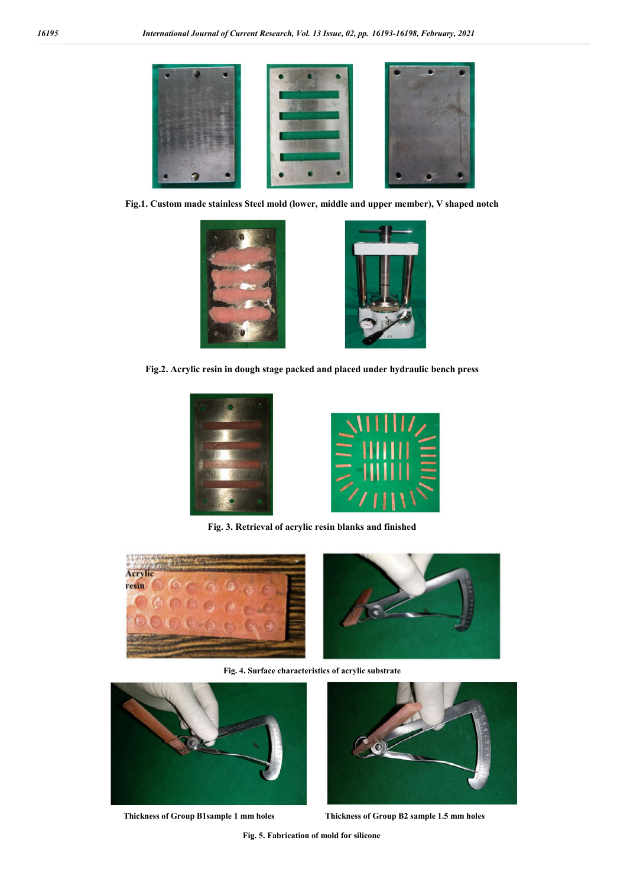

**Fig.1. Custom made stainless Steel mold (lower, middle and upper member), V shaped notch**



**Fig.2. Acrylic resin in dough stage packed and placed under hydraulic bench press**





**Fig. 3. Retrieval of acrylic resin blanks and finished**





**Fig. 4. Surface characteristics of acrylic substrate**





 **Thickness of Group B1sample 1 mm holes Thickness of Group B2 sample 1.5 mm holes**

**Fig. 5. Fabrication of mold for silicone**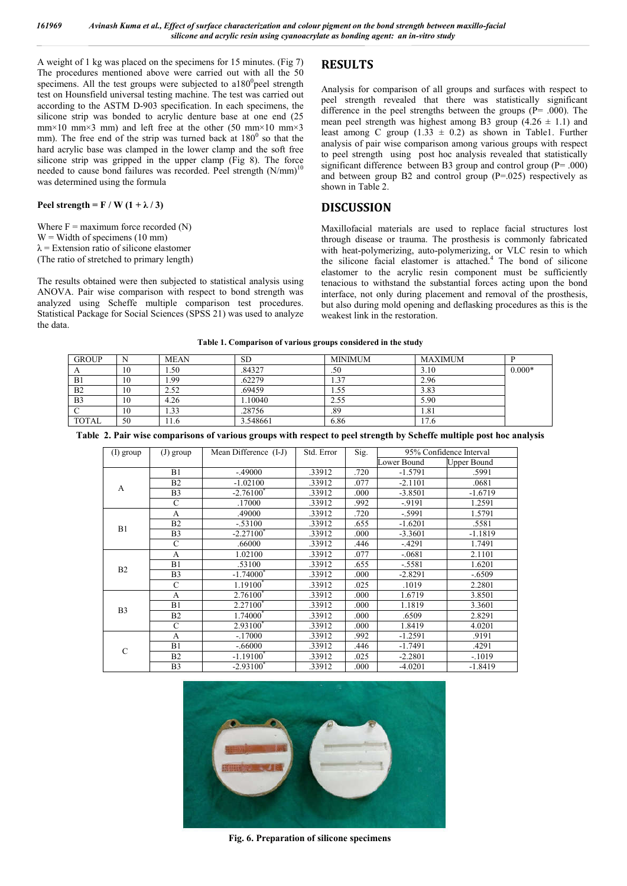A weight of 1 kg was placed on the specimens for 15 minutes. (Fig 7) The procedures mentioned above were carried out with all the 50 specimens. All the test groups were subjected to  $a180^\circ$  peel strength test on Hounsfield universal testing machine. The test was carried out according to the ASTM D-903 specification. In each specimens, the silicone strip was bonded to acrylic denture base at one end (25 mm×10 mm×3 mm) and left free at the other (50 mm×10 mm×3 mm). The free end of the strip was turned back at  $180^{\circ}$  so that the hard acrylic base was clamped in the lower clamp and the soft free silicone strip was gripped in the upper clamp (Fig 8). The force needed to cause bond failures was recorded. Peel strength  $(N/mm)^1$ was determined using the formula

### Peel strength =  $F / W (1 + \lambda / 3)$

Where  $F =$  maximum force recorded  $(N)$  $W =$  Width of specimens (10 mm)  $\lambda$  = Extension ratio of silicone elastomer (The ratio of stretched to primary length)

The results obtained were then subjected to statistical analysis using ANOVA. Pair wise comparison with respect to bond strength was analyzed using Scheffe multiple comparison test procedures. Statistical Package for Social Sciences (SPSS 21) was used to analyze the data.

## **RESULTS**

Analysis for comparison of all groups and surfaces with respect to peel strength revealed that there was statistically significant difference in the peel strengths between the groups ( $P = .000$ ). The mean peel strength was highest among B3 group  $(4.26 \pm 1.1)$  and least among C group  $(1.33 \pm 0.2)$  as shown in Table1. Further analysis of pair wise comparison among various groups with respect to peel strength using post hoc analysis revealed that statistically significant difference between B3 group and control group (P= .000) and between group  $B2$  and control group  $(P=.025)$  respectively as shown in Table 2.

## **DISCUSSION**

Maxillofacial materials are used to replace facial structures lost through disease or trauma. The prosthesis is commonly fabricated with heat-polymerizing, auto-polymerizing, or VLC resin to which the silicone facial elastomer is attached.<sup>4</sup> The bond of silicone elastomer to the acrylic resin component must be sufficiently tenacious to withstand the substantial forces acting upon the bond interface, not only during placement and removal of the prosthesis, but also during mold opening and deflasking procedures as this is the weakest link in the restoration.

#### **Table 1. Comparison of various groups considered in the study**

| <b>GROUP</b>   | N  | <b>MEAN</b>      | <b>SD</b> | <b>MINIMUM</b> | <b>MAXIMUM</b> |          |
|----------------|----|------------------|-----------|----------------|----------------|----------|
|                | 10 | .50 <sub>1</sub> | .84327    | .50            | 3.10           | $0.000*$ |
| B1             | 10 | .99              | .62279    |                | 2.96           |          |
| B <sub>2</sub> | 10 | 2.52             | .69459    | 1.55           | 3.83           |          |
| <b>B</b> 3     | 10 | 4.26             | 10040     | 2.55           | 5.90           |          |
|                | 10 | .33              | .28756    | .89            | 1.81           |          |
| <b>TOTAL</b>   | 50 | 1.0              | 3.548661  | 6.86           | 7.6            |          |

**Table 2. Pair wise comparisons of various groups with respect to peel strength by Scheffe multiple post hoc analysis**

| $(I)$ group    | $(J)$ group    | Mean Difference (I-J) | Std. Error | Sig. | 95% Confidence Interval |             |
|----------------|----------------|-----------------------|------------|------|-------------------------|-------------|
|                |                |                       |            |      | Lower Bound             | Upper Bound |
|                | B1             | $-.49000$             | .33912     | .720 | $-1.5791$               | .5991       |
| A              | B <sub>2</sub> | $-1.02100$            | .33912     | .077 | $-2.1101$               | .0681       |
|                | B <sub>3</sub> | $-2.76100*$           | .33912     | .000 | $-3.8501$               | $-1.6719$   |
|                | C              | .17000                | .33912     | .992 | $-9191$                 | 1.2591      |
|                | A              | .49000                | .33912     | .720 | $-.5991$                | 1.5791      |
| B1             | B2             | $-.53100$             | .33912     | .655 | $-1.6201$               | .5581       |
|                | B <sub>3</sub> | $-2.27100^*$          | .33912     | .000 | $-3.3601$               | $-1.1819$   |
|                | C              | .66000                | .33912     | .446 | $-4291$                 | 1.7491      |
|                | A              | 1.02100               | .33912     | .077 | $-.0681$                | 2.1101      |
| B2             | B1             | .53100                | .33912     | .655 | $-.5581$                | 1.6201      |
|                | B <sub>3</sub> | $-1.74000*$           | .33912     | .000 | $-2.8291$               | $-.6509$    |
|                | $\mathcal{C}$  | 1.19100*              | .33912     | .025 | .1019                   | 2.2801      |
|                | A              | 2.76100*              | .33912     | .000 | 1.6719                  | 3.8501      |
| B <sub>3</sub> | B1             | 2.27100*              | .33912     | .000 | 1.1819                  | 3.3601      |
|                | B <sub>2</sub> | 1.74000*              | .33912     | .000 | .6509                   | 2.8291      |
|                | C              | 2.93100               | .33912     | .000 | 1.8419                  | 4.0201      |
|                | A              | $-.17000$             | .33912     | .992 | $-1.2591$               | .9191       |
| $\mathcal{C}$  | B1             | $-.66000$             | .33912     | .446 | $-1.7491$               | .4291       |
|                | B2             | $-1.19100^*$          | .33912     | .025 | $-2.2801$               | $-.1019$    |
|                | B <sub>3</sub> | $-2.93100*$           | .33912     | .000 | $-4.0201$               | $-1.8419$   |



**Fig. 6. Preparation of silicone specimens**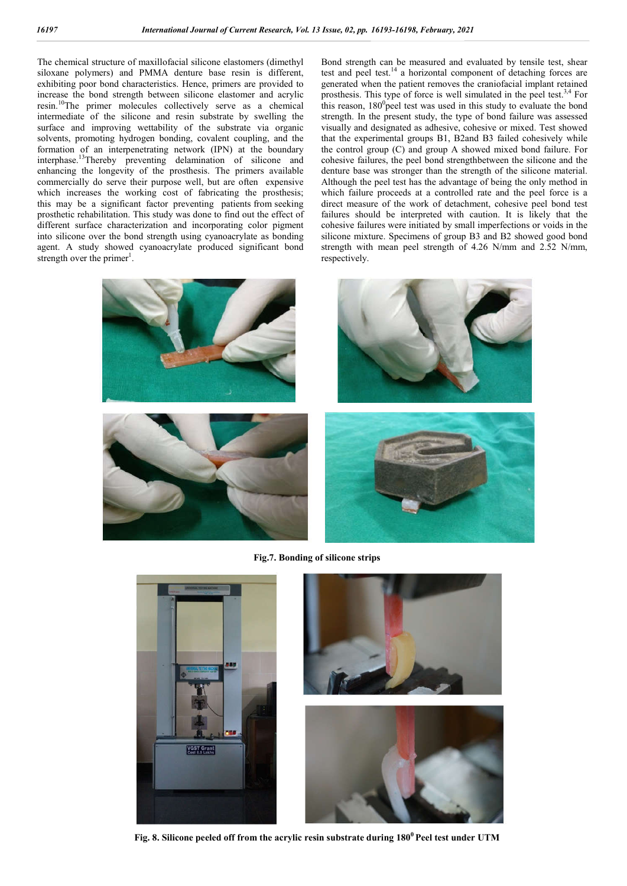The chemical structure of maxillofacial silicone elastomers (dimethyl siloxane polymers) and PMMA denture base resin is different, exhibiting poor bond characteristics. Hence, primers are provided to increase the bond strength between silicone elastomer and acrylic resin.10The primer molecules collectively serve as a chemical intermediate of the silicone and resin substrate by swelling the surface and improving wettability of the substrate via organic solvents, promoting hydrogen bonding, covalent coupling, and the formation of an interpenetrating network (IPN) at the boundary interphase.13Thereby preventing delamination of silicone and enhancing the longevity of the prosthesis. The primers available commercially do serve their purpose well, but are often expensive which increases the working cost of fabricating the prosthesis: this may be a significant factor preventing patients from seeking prosthetic rehabilitation. This study was done to find out the effect of different surface characterization and incorporating color pigment into silicone over the bond strength using cyanoacrylate as bonding agent. A study showed cyanoacrylate produced significant bond strength over the primer<sup>1</sup>.

Bond strength can be measured and evaluated by tensile test, shear test and peel test.<sup>14</sup> a horizontal component of detaching forces are generated when the patient removes the craniofacial implant retained prosthesis. This type of force is well simulated in the peel test. $3,4$  For this reason,  $180^\circ$  peel test was used in this study to evaluate the bond strength. In the present study, the type of bond failure was assessed visually and designated as adhesive, cohesive or mixed. Test showed that the experimental groups B1, B2and B3 failed cohesively while the control group (C) and group A showed mixed bond failure. For cohesive failures, the peel bond strengthbetween the silicone and the denture base was stronger than the strength of the silicone material. Although the peel test has the advantage of being the only method in which failure proceeds at a controlled rate and the peel force is a direct measure of the work of detachment, cohesive peel bond test failures should be interpreted with caution. It is likely that the cohesive failures were initiated by small imperfections or voids in the silicone mixture. Specimens of group B3 and B2 showed good bond strength with mean peel strength of 4.26 N/mm and 2.52 N/mm, respectively.







**Fig.7. Bonding of silicone strips**







**Fig. 8. Silicone peeled off from the acrylic resin substrate during 1800 Peel test under UTM**